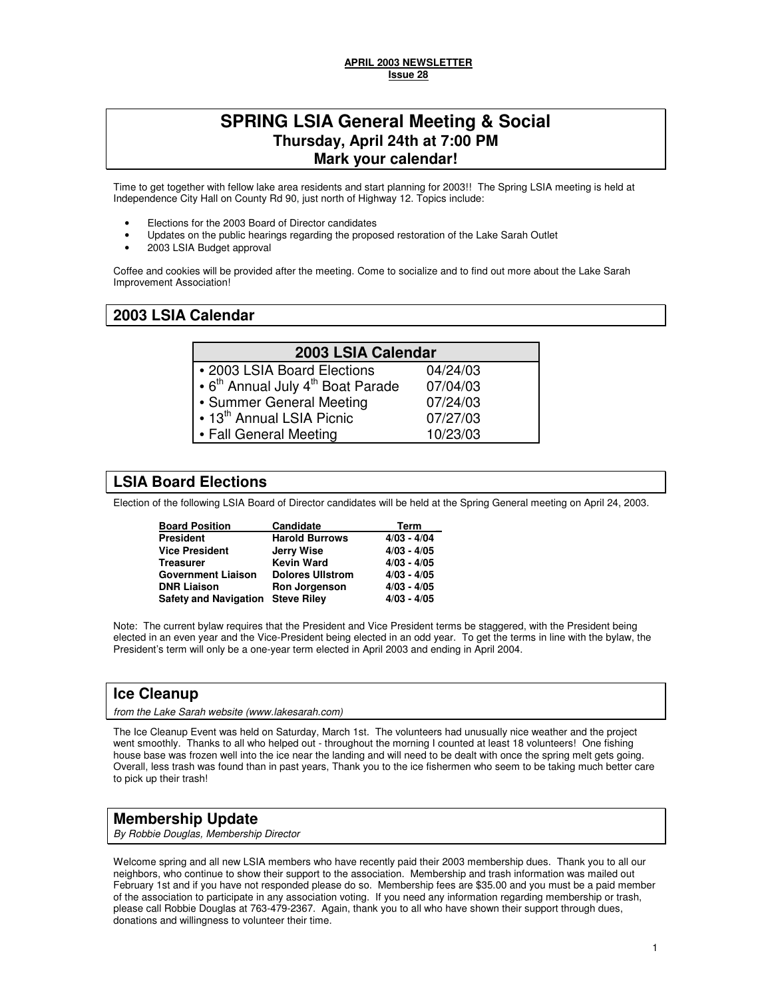### **APRIL 2003 NEWSLETTER Issue 28**

# **SPRING LSIA General Meeting & Social Thursday, April 24th at 7:00 PM Mark your calendar!**

Time to get together with fellow lake area residents and start planning for 2003!! The Spring LSIA meeting is held at Independence City Hall on County Rd 90, just north of Highway 12. Topics include:

- Elections for the 2003 Board of Director candidates
- Updates on the public hearings regarding the proposed restoration of the Lake Sarah Outlet
- 2003 LSIA Budget approval

Coffee and cookies will be provided after the meeting. Come to socialize and to find out more about the Lake Sarah Improvement Association!

### **2003 LSIA Calendar**

| 2003 LSIA Calendar                                        |          |  |  |
|-----------------------------------------------------------|----------|--|--|
| • 2003 LSIA Board Elections                               | 04/24/03 |  |  |
| • 6 <sup>th</sup> Annual July 4 <sup>th</sup> Boat Parade | 07/04/03 |  |  |
| • Summer General Meeting                                  | 07/24/03 |  |  |
| • 13 <sup>th</sup> Annual LSIA Picnic                     | 07/27/03 |  |  |
| • Fall General Meeting                                    | 10/23/03 |  |  |
|                                                           |          |  |  |

# **LSIA Board Elections**

Election of the following LSIA Board of Director candidates will be held at the Spring General meeting on April 24, 2003.

| <b>Board Position</b>             | Candidate               | Term          |
|-----------------------------------|-------------------------|---------------|
| <b>President</b>                  | <b>Harold Burrows</b>   | $4/03 - 4/04$ |
| <b>Vice President</b>             | Jerry Wise              | $4/03 - 4/05$ |
| <b>Treasurer</b>                  | <b>Kevin Ward</b>       | $4/03 - 4/05$ |
| <b>Government Liaison</b>         | <b>Dolores Ullstrom</b> | $4/03 - 4/05$ |
| <b>DNR Liaison</b>                | <b>Ron Jorgenson</b>    | $4/03 - 4/05$ |
| Safety and Navigation Steve Riley |                         | $4/03 - 4/05$ |

Note: The current bylaw requires that the President and Vice President terms be staggered, with the President being elected in an even year and the Vice-President being elected in an odd year. To get the terms in line with the bylaw, the President's term will only be a one-year term elected in April 2003 and ending in April 2004.

### **Ice Cleanup**

from the Lake Sarah website (www.lakesarah.com)

The Ice Cleanup Event was held on Saturday, March 1st. The volunteers had unusually nice weather and the project went smoothly. Thanks to all who helped out - throughout the morning I counted at least 18 volunteers! One fishing house base was frozen well into the ice near the landing and will need to be dealt with once the spring melt gets going. Overall, less trash was found than in past years, Thank you to the ice fishermen who seem to be taking much better care to pick up their trash!

### **Membership Update**

By Robbie Douglas, Membership Director

Welcome spring and all new LSIA members who have recently paid their 2003 membership dues. Thank you to all our neighbors, who continue to show their support to the association. Membership and trash information was mailed out February 1st and if you have not responded please do so. Membership fees are \$35.00 and you must be a paid member of the association to participate in any association voting. If you need any information regarding membership or trash, please call Robbie Douglas at 763-479-2367. Again, thank you to all who have shown their support through dues, donations and willingness to volunteer their time.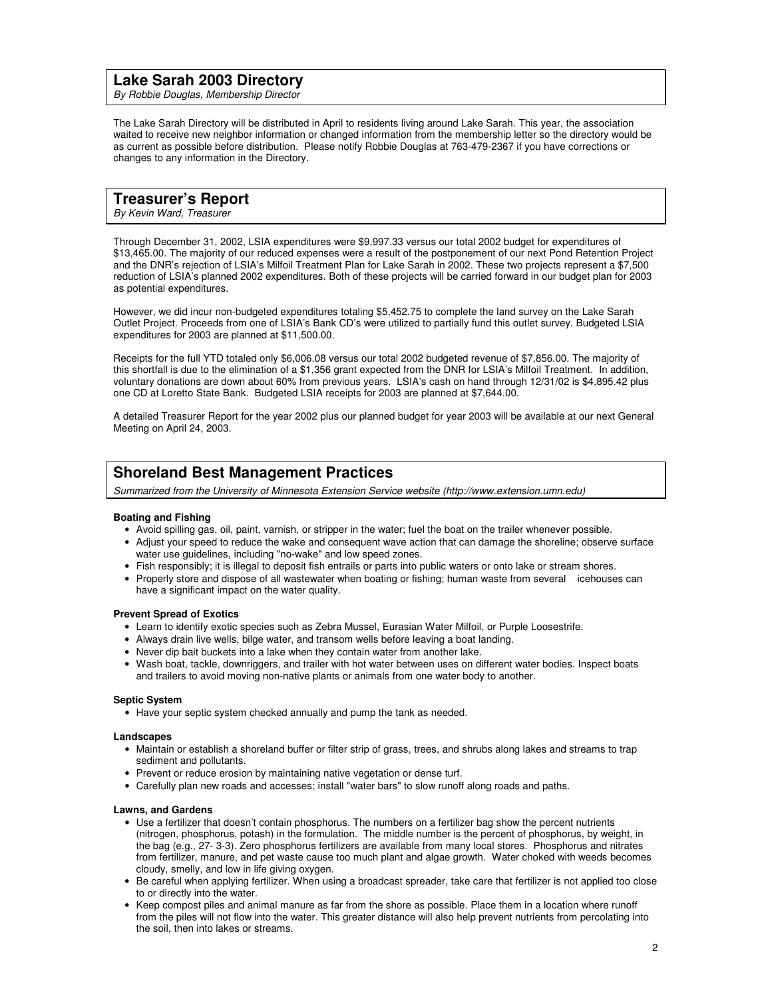### **Lake Sarah 2003 Directory**

By Robbie Douglas, Membership Director

The Lake Sarah Directory will be distributed in April to residents living around Lake Sarah. This year, the association waited to receive new neighbor information or changed information from the membership letter so the directory would be as current as possible before distribution. Please notify Robbie Douglas at 763-479-2367 if you have corrections or changes to any information in the Directory.

### **Treasurer's Report**

By Kevin Ward, Treasurer

Through December 31, 2002, LSIA expenditures were \$9,997.33 versus our total 2002 budget for expenditures of \$13,465.00. The majority of our reduced expenses were a result of the postponement of our next Pond Retention Project and the DNR's rejection of LSIA's Milfoil Treatment Plan for Lake Sarah in 2002. These two projects represent a \$7,500 reduction of LSIA's planned 2002 expenditures. Both of these projects will be carried forward in our budget plan for 2003 as potential expenditures.

However, we did incur non-budgeted expenditures totaling \$5,452.75 to complete the land survey on the Lake Sarah Outlet Project. Proceeds from one of LSIA's Bank CD's were utilized to partially fund this outlet survey. Budgeted LSIA expenditures for 2003 are planned at \$11,500.00.

Receipts for the full YTD totaled only \$6,006.08 versus our total 2002 budgeted revenue of \$7,856.00. The majority of this shortfall is due to the elimination of a \$1,356 grant expected from the DNR for LSIA's Milfoil Treatment. In addition, voluntary donations are down about 60% from previous years. LSIA's cash on hand through 12/31/02 is \$4,895.42 plus one CD at Loretto State Bank. Budgeted LSIA receipts for 2003 are planned at \$7,644.00.

A detailed Treasurer Report for the year 2002 plus our planned budget for year 2003 will be available at our next General Meeting on April 24, 2003.

## **Shoreland Best Management Practices**

Summarized from the University of Minnesota Extension Service website (http://www.extension.umn.edu)

### **Boating and Fishing**

- Avoid spilling gas, oil, paint, varnish, or stripper in the water; fuel the boat on the trailer whenever possible.
- Adjust your speed to reduce the wake and consequent wave action that can damage the shoreline; observe surface water use guidelines, including "no-wake" and low speed zones.
- Fish responsibly; it is illegal to deposit fish entrails or parts into public waters or onto lake or stream shores.
- Properly store and dispose of all wastewater when boating or fishing; human waste from several icehouses can have a significant impact on the water quality.

#### **Prevent Spread of Exotics**

- Learn to identify exotic species such as Zebra Mussel, Eurasian Water Milfoil, or Purple Loosestrife.
- Always drain live wells, bilge water, and transom wells before leaving a boat landing.
- Never dip bait buckets into a lake when they contain water from another lake.
- Wash boat, tackle, downriggers, and trailer with hot water between uses on different water bodies. Inspect boats and trailers to avoid moving non-native plants or animals from one water body to another.

#### **Septic System**

• Have your septic system checked annually and pump the tank as needed.

#### **Landscapes**

- Maintain or establish a shoreland buffer or filter strip of grass, trees, and shrubs along lakes and streams to trap sediment and pollutants.
- Prevent or reduce erosion by maintaining native vegetation or dense turf.
- Carefully plan new roads and accesses; install "water bars" to slow runoff along roads and paths.

#### **Lawns, and Gardens**

- Use a fertilizer that doesn't contain phosphorus. The numbers on a fertilizer bag show the percent nutrients (nitrogen, phosphorus, potash) in the formulation. The middle number is the percent of phosphorus, by weight, in the bag (e.g., 27- 3-3). Zero phosphorus fertilizers are available from many local stores. Phosphorus and nitrates from fertilizer, manure, and pet waste cause too much plant and algae growth. Water choked with weeds becomes cloudy, smelly, and low in life giving oxygen.
- Be careful when applying fertilizer. When using a broadcast spreader, take care that fertilizer is not applied too close to or directly into the water.
- Keep compost piles and animal manure as far from the shore as possible. Place them in a location where runoff from the piles will not flow into the water. This greater distance will also help prevent nutrients from percolating into the soil, then into lakes or streams.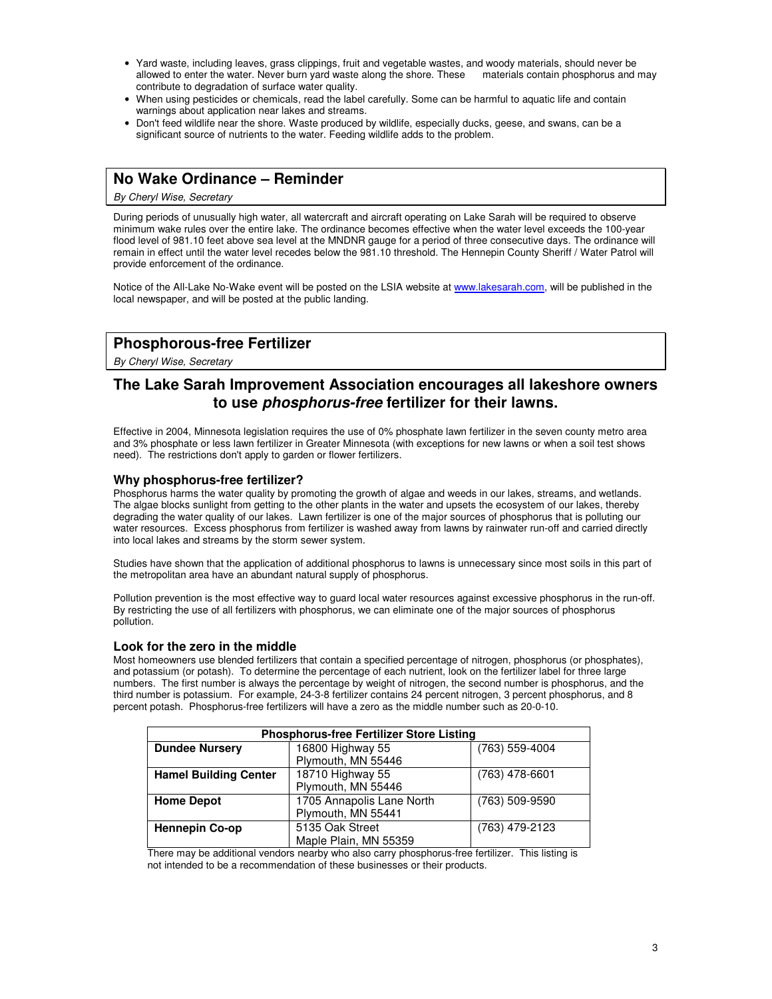- Yard waste, including leaves, grass clippings, fruit and vegetable wastes, and woody materials, should never be allowed to enter the water. Never burn yard waste along the shore. These contribute to degradation of surface water quality.
- When using pesticides or chemicals, read the label carefully. Some can be harmful to aquatic life and contain warnings about application near lakes and streams.
- Don't feed wildlife near the shore. Waste produced by wildlife, especially ducks, geese, and swans, can be a significant source of nutrients to the water. Feeding wildlife adds to the problem.

## **No Wake Ordinance – Reminder**

By Cheryl Wise, Secretary

During periods of unusually high water, all watercraft and aircraft operating on Lake Sarah will be required to observe minimum wake rules over the entire lake. The ordinance becomes effective when the water level exceeds the 100-year flood level of 981.10 feet above sea level at the MNDNR gauge for a period of three consecutive days. The ordinance will remain in effect until the water level recedes below the 981.10 threshold. The Hennepin County Sheriff / Water Patrol will provide enforcement of the ordinance.

Notice of the All-Lake No-Wake event will be posted on the LSIA website at www.lakesarah.com, will be published in the local newspaper, and will be posted at the public landing.

# **Phosphorous-free Fertilizer**

By Cheryl Wise, Secretary

## **The Lake Sarah Improvement Association encourages all lakeshore owners to use phosphorus-free fertilizer for their lawns.**

Effective in 2004, Minnesota legislation requires the use of 0% phosphate lawn fertilizer in the seven county metro area and 3% phosphate or less lawn fertilizer in Greater Minnesota (with exceptions for new lawns or when a soil test shows need). The restrictions don't apply to garden or flower fertilizers.

### **Why phosphorus-free fertilizer?**

Phosphorus harms the water quality by promoting the growth of algae and weeds in our lakes, streams, and wetlands. The algae blocks sunlight from getting to the other plants in the water and upsets the ecosystem of our lakes, thereby degrading the water quality of our lakes. Lawn fertilizer is one of the major sources of phosphorus that is polluting our water resources. Excess phosphorus from fertilizer is washed away from lawns by rainwater run-off and carried directly into local lakes and streams by the storm sewer system.

Studies have shown that the application of additional phosphorus to lawns is unnecessary since most soils in this part of the metropolitan area have an abundant natural supply of phosphorus.

Pollution prevention is the most effective way to guard local water resources against excessive phosphorus in the run-off. By restricting the use of all fertilizers with phosphorus, we can eliminate one of the major sources of phosphorus pollution.

### **Look for the zero in the middle**

Most homeowners use blended fertilizers that contain a specified percentage of nitrogen, phosphorus (or phosphates), and potassium (or potash). To determine the percentage of each nutrient, look on the fertilizer label for three large numbers. The first number is always the percentage by weight of nitrogen, the second number is phosphorus, and the third number is potassium. For example, 24-3-8 fertilizer contains 24 percent nitrogen, 3 percent phosphorus, and 8 percent potash. Phosphorus-free fertilizers will have a zero as the middle number such as 20-0-10.

| <b>Phosphorus-free Fertilizer Store Listing</b> |                                    |                  |  |
|-------------------------------------------------|------------------------------------|------------------|--|
| <b>Dundee Nursery</b>                           | 16800 Highway 55<br>(763) 559-4004 |                  |  |
|                                                 | Plymouth, MN 55446                 |                  |  |
| <b>Hamel Building Center</b>                    | 18710 Highway 55                   | $(763)$ 478-6601 |  |
|                                                 | Plymouth, MN 55446                 |                  |  |
| <b>Home Depot</b>                               | 1705 Annapolis Lane North          | (763) 509-9590   |  |
|                                                 | Plymouth, MN 55441                 |                  |  |
| <b>Hennepin Co-op</b>                           | 5135 Oak Street                    | (763) 479-2123   |  |
|                                                 | Maple Plain, MN 55359              |                  |  |

There may be additional vendors nearby who also carry phosphorus-free fertilizer. This listing is not intended to be a recommendation of these businesses or their products.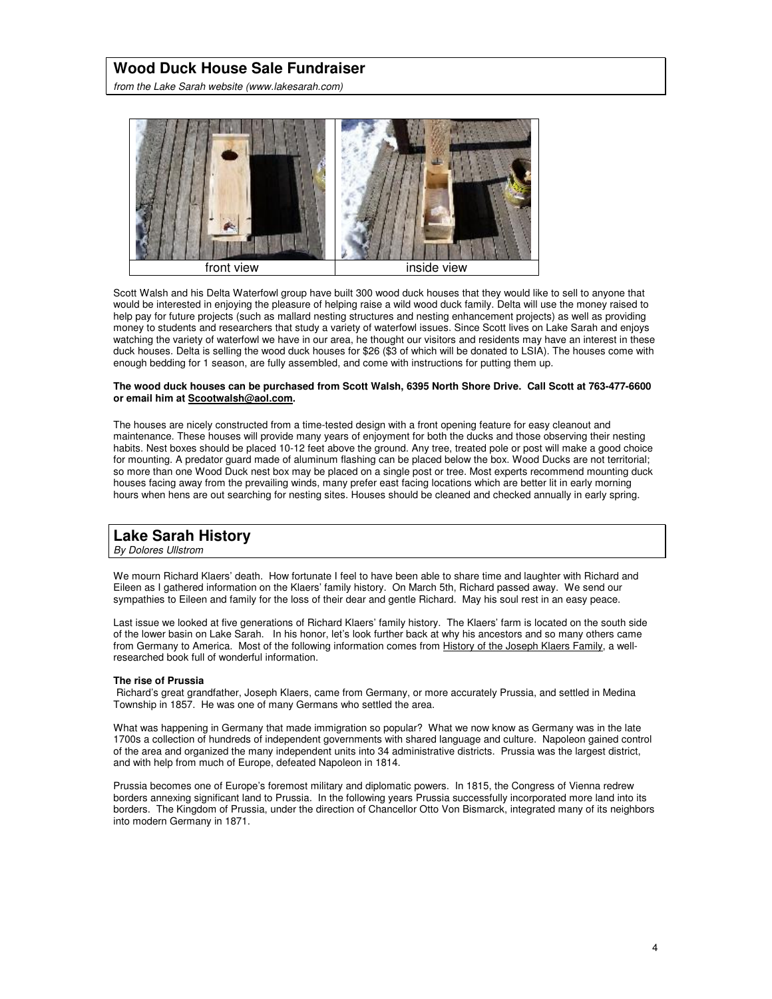## **Wood Duck House Sale Fundraiser**

from the Lake Sarah website (www.lakesarah.com)



Scott Walsh and his Delta Waterfowl group have built 300 wood duck houses that they would like to sell to anyone that would be interested in enjoying the pleasure of helping raise a wild wood duck family. Delta will use the money raised to help pay for future projects (such as mallard nesting structures and nesting enhancement projects) as well as providing money to students and researchers that study a variety of waterfowl issues. Since Scott lives on Lake Sarah and enjoys watching the variety of waterfowl we have in our area, he thought our visitors and residents may have an interest in these duck houses. Delta is selling the wood duck houses for \$26 (\$3 of which will be donated to LSIA). The houses come with enough bedding for 1 season, are fully assembled, and come with instructions for putting them up.

#### **The wood duck houses can be purchased from Scott Walsh, 6395 North Shore Drive. Call Scott at 763-477-6600 or email him at Scootwalsh@aol.com.**

The houses are nicely constructed from a time-tested design with a front opening feature for easy cleanout and maintenance. These houses will provide many years of enjoyment for both the ducks and those observing their nesting habits. Nest boxes should be placed 10-12 feet above the ground. Any tree, treated pole or post will make a good choice for mounting. A predator guard made of aluminum flashing can be placed below the box. Wood Ducks are not territorial; so more than one Wood Duck nest box may be placed on a single post or tree. Most experts recommend mounting duck houses facing away from the prevailing winds, many prefer east facing locations which are better lit in early morning hours when hens are out searching for nesting sites. Houses should be cleaned and checked annually in early spring.

## **Lake Sarah History**

By Dolores Ullstrom

We mourn Richard Klaers' death. How fortunate I feel to have been able to share time and laughter with Richard and Eileen as I gathered information on the Klaers' family history. On March 5th, Richard passed away. We send our sympathies to Eileen and family for the loss of their dear and gentle Richard. May his soul rest in an easy peace.

Last issue we looked at five generations of Richard Klaers' family history. The Klaers' farm is located on the south side of the lower basin on Lake Sarah. In his honor, let's look further back at why his ancestors and so many others came from Germany to America. Most of the following information comes from History of the Joseph Klaers Family, a wellresearched book full of wonderful information.

#### **The rise of Prussia**

 Richard's great grandfather, Joseph Klaers, came from Germany, or more accurately Prussia, and settled in Medina Township in 1857. He was one of many Germans who settled the area.

What was happening in Germany that made immigration so popular? What we now know as Germany was in the late 1700s a collection of hundreds of independent governments with shared language and culture. Napoleon gained control of the area and organized the many independent units into 34 administrative districts. Prussia was the largest district, and with help from much of Europe, defeated Napoleon in 1814.

Prussia becomes one of Europe's foremost military and diplomatic powers. In 1815, the Congress of Vienna redrew borders annexing significant land to Prussia. In the following years Prussia successfully incorporated more land into its borders. The Kingdom of Prussia, under the direction of Chancellor Otto Von Bismarck, integrated many of its neighbors into modern Germany in 1871.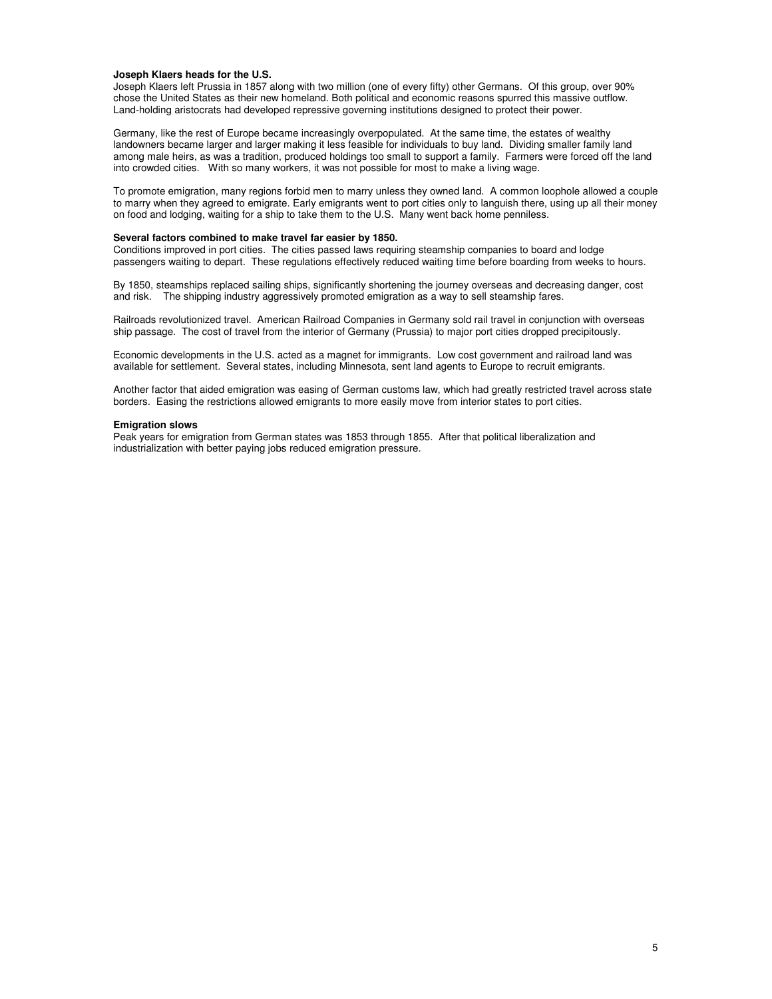### **Joseph Klaers heads for the U.S.**

Joseph Klaers left Prussia in 1857 along with two million (one of every fifty) other Germans. Of this group, over 90% chose the United States as their new homeland. Both political and economic reasons spurred this massive outflow. Land-holding aristocrats had developed repressive governing institutions designed to protect their power.

Germany, like the rest of Europe became increasingly overpopulated. At the same time, the estates of wealthy landowners became larger and larger making it less feasible for individuals to buy land. Dividing smaller family land among male heirs, as was a tradition, produced holdings too small to support a family. Farmers were forced off the land into crowded cities. With so many workers, it was not possible for most to make a living wage.

To promote emigration, many regions forbid men to marry unless they owned land. A common loophole allowed a couple to marry when they agreed to emigrate. Early emigrants went to port cities only to languish there, using up all their money on food and lodging, waiting for a ship to take them to the U.S. Many went back home penniless.

#### **Several factors combined to make travel far easier by 1850.**

Conditions improved in port cities. The cities passed laws requiring steamship companies to board and lodge passengers waiting to depart. These regulations effectively reduced waiting time before boarding from weeks to hours.

By 1850, steamships replaced sailing ships, significantly shortening the journey overseas and decreasing danger, cost and risk. The shipping industry aggressively promoted emigration as a way to sell steamship fares.

Railroads revolutionized travel. American Railroad Companies in Germany sold rail travel in conjunction with overseas ship passage. The cost of travel from the interior of Germany (Prussia) to major port cities dropped precipitously.

Economic developments in the U.S. acted as a magnet for immigrants. Low cost government and railroad land was available for settlement. Several states, including Minnesota, sent land agents to Europe to recruit emigrants.

Another factor that aided emigration was easing of German customs law, which had greatly restricted travel across state borders. Easing the restrictions allowed emigrants to more easily move from interior states to port cities.

#### **Emigration slows**

Peak years for emigration from German states was 1853 through 1855. After that political liberalization and industrialization with better paying jobs reduced emigration pressure.